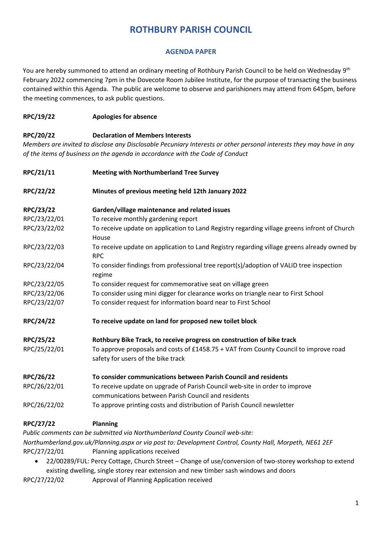# **ROTHBURY PARISH COUNCIL**

## **AGENDA PAPER**

You are hereby summoned to attend an ordinary meeting of Rothbury Parish Council to be held on Wednesday 9<sup>th</sup> February 2022 commencing 7pm in the Dovecote Room Jubilee Institute, for the purpose of transacting the business contained within this Agenda. The public are welcome to observe and parishioners may attend from 645pm, before the meeting commences, to ask public questions.

### **RPC/19/22 Apologies for absence**

### **RPC/20/22 Declaration of Members Interests**

*Members are invited to disclose any Disclosable Pecuniary Interests or other personal interests they may have in any of the items of business on the agenda in accordance with the Code of Conduct* 

| RPC/21/11    | <b>Meeting with Northumberland Tree Survey</b>                                                                                     |
|--------------|------------------------------------------------------------------------------------------------------------------------------------|
| RPC/22/22    | Minutes of previous meeting held 12th January 2022                                                                                 |
| RPC/23/22    | Garden/village maintenance and related issues                                                                                      |
| RPC/23/22/01 | To receive monthly gardening report                                                                                                |
| RPC/23/22/02 | To receive update on application to Land Registry regarding village greens infront of Church<br>House                              |
| RPC/23/22/03 | To receive update on application to Land Registry regarding village greens already owned by<br><b>RPC</b>                          |
| RPC/23/22/04 | To consider findings from professional tree report(s)/adoption of VALID tree inspection<br>regime                                  |
| RPC/23/22/05 | To consider request for commemorative seat on village green                                                                        |
| RPC/23/22/06 | To consider using mini digger for clearance works on triangle near to First School                                                 |
| RPC/23/22/07 | To consider request for information board near to First School                                                                     |
| RPC/24/22    | To receive update on land for proposed new toilet block                                                                            |
| RPC/25/22    | Rothbury Bike Track, to receive progress on construction of bike track                                                             |
| RPC/25/22/01 | To approve proposals and costs of £1458.75 + VAT from County Council to improve road<br>safety for users of the bike track         |
| RPC/26/22    | To consider communications between Parish Council and residents                                                                    |
| RPC/26/22/01 | To receive update on upgrade of Parish Council web-site in order to improve<br>communications between Parish Council and residents |
| RPC/26/22/02 | To approve printing costs and distribution of Parish Council newsletter                                                            |

#### **RPC/27/22 Planning**

*Public comments can be submitted via Northumberland County Council web-site: Northumberland.gov.uk/Planning.aspx or via post to: Development Control, County Hall, Morpeth, NE61 2EF* RPC/27/22/01 Planning applications received

• 22/00289/FUL: Percy Cottage, Church Street – Change of use/conversion of two-storey workshop to extend existing dwelling, single storey rear extension and new timber sash windows and doors

RPC/27/22/02 Approval of Planning Application received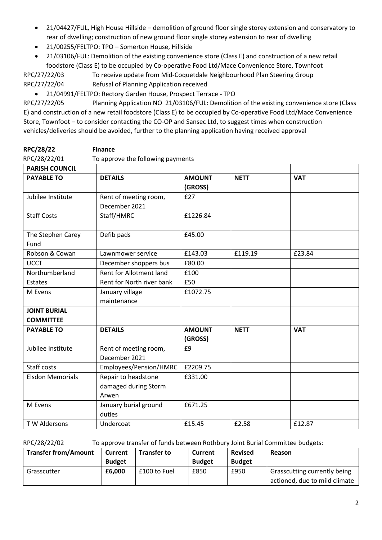- 21/04427/FUL, High House Hillside demolition of ground floor single storey extension and conservatory to rear of dwelling; construction of new ground floor single storey extension to rear of dwelling
- 21/00255/FELTPO: TPO Somerton House, Hillside
- 21/03106/FUL: Demolition of the existing convenience store (Class E) and construction of a new retail foodstore (Class E) to be occupied by Co-operative Food Ltd/Mace Convenience Store, Townfoot

RPC/27/22/03 To receive update from Mid-Coquetdale Neighbourhood Plan Steering Group RPC/27/22/04 Refusal of Planning Application received

• 21/04991/FELTPO: Rectory Garden House, Prospect Terrace - TPO

RPC/27/22/05 Planning Application NO 21/03106/FUL: Demolition of the existing convenience store (Class E) and construction of a new retail foodstore (Class E) to be occupied by Co-operative Food Ltd/Mace Convenience Store, Townfoot – to consider contacting the CO-OP and Sansec Ltd, to suggest times when construction vehicles/deliveries should be avoided, further to the planning application having received approval

| RPC/28/22    | <b>Finance</b>                    |
|--------------|-----------------------------------|
| RPC/28/22/01 | To approve the following payments |

| <b>PARISH COUNCIL</b>                   |                                                      |                          |             |            |
|-----------------------------------------|------------------------------------------------------|--------------------------|-------------|------------|
| <b>PAYABLE TO</b>                       | <b>DETAILS</b>                                       | <b>AMOUNT</b><br>(GROSS) | <b>NETT</b> | <b>VAT</b> |
| Jubilee Institute                       | Rent of meeting room,<br>December 2021               | £27                      |             |            |
| <b>Staff Costs</b>                      | Staff/HMRC                                           | £1226.84                 |             |            |
| The Stephen Carey<br>Fund               | Defib pads                                           | £45.00                   |             |            |
| Robson & Cowan                          | Lawnmower service                                    | £143.03                  | £119.19     | £23.84     |
| <b>UCCT</b>                             | December shoppers bus                                | £80.00                   |             |            |
| Northumberland<br>Estates               | Rent for Allotment land<br>Rent for North river bank | £100<br>£50              |             |            |
| M Evens                                 | January village<br>maintenance                       | £1072.75                 |             |            |
| <b>JOINT BURIAL</b><br><b>COMMITTEE</b> |                                                      |                          |             |            |
| <b>PAYABLE TO</b>                       | <b>DETAILS</b>                                       | <b>AMOUNT</b><br>(GROSS) | <b>NETT</b> | <b>VAT</b> |
| Jubilee Institute                       | Rent of meeting room,<br>December 2021               | £9                       |             |            |
| <b>Staff costs</b>                      | Employees/Pension/HMRC                               | £2209.75                 |             |            |
| <b>Elsdon Memorials</b>                 | Repair to headstone<br>damaged during Storm<br>Arwen | £331.00                  |             |            |
| M Evens                                 | January burial ground<br>duties                      | £671.25                  |             |            |
| T W Aldersons                           | Undercoat                                            | £15.45                   | £2.58       | £12.87     |

RPC/28/22/02 To approve transfer of funds between Rothbury Joint Burial Committee budgets:

| <b>Transfer from/Amount</b> | Current       | <b>Transfer to</b> | Current       | <b>Revised</b> | Reason                        |
|-----------------------------|---------------|--------------------|---------------|----------------|-------------------------------|
|                             | <b>Budget</b> |                    | <b>Budget</b> | <b>Budget</b>  |                               |
| Grasscutter                 | £6,000        | £100 to Fuel       | £850          | £950           | Grasscutting currently being  |
|                             |               |                    |               |                | actioned, due to mild climate |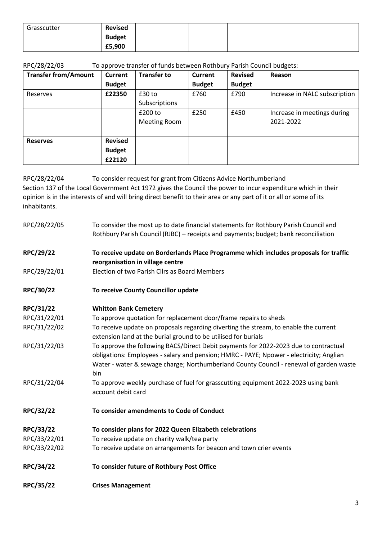| Grasscutter | <b>Revised</b> |  |  |
|-------------|----------------|--|--|
|             | <b>Budget</b>  |  |  |
|             | £5,900         |  |  |

RPC/28/22/03 To approve transfer of funds between Rothbury Parish Council budgets:

| <b>Transfer from/Amount</b> | Current        | <b>Transfer to</b>  | <b>Current</b> | <b>Revised</b> | Reason                        |
|-----------------------------|----------------|---------------------|----------------|----------------|-------------------------------|
|                             | <b>Budget</b>  |                     | <b>Budget</b>  | <b>Budget</b>  |                               |
| Reserves                    | £22350         | $£30$ to            | £760           | £790           | Increase in NALC subscription |
|                             |                | Subscriptions       |                |                |                               |
|                             |                | £200 to             | £250           | £450           | Increase in meetings during   |
|                             |                | <b>Meeting Room</b> |                |                | 2021-2022                     |
|                             |                |                     |                |                |                               |
| <b>Reserves</b>             | <b>Revised</b> |                     |                |                |                               |
|                             | <b>Budget</b>  |                     |                |                |                               |
|                             | £22120         |                     |                |                |                               |

RPC/28/22/04 To consider request for grant from Citizens Advice Northumberland

Section 137 of the Local Government Act 1972 gives the Council the power to incur expenditure which in their opinion is in the interests of and will bring direct benefit to their area or any part of it or all or some of its inhabitants.

| RPC/28/22/05 | To consider the most up to date financial statements for Rothbury Parish Council and<br>Rothbury Parish Council (RJBC) - receipts and payments; budget; bank reconciliation |
|--------------|-----------------------------------------------------------------------------------------------------------------------------------------------------------------------------|
|              |                                                                                                                                                                             |
| RPC/29/22    | To receive update on Borderlands Place Programme which includes proposals for traffic                                                                                       |
|              | reorganisation in village centre                                                                                                                                            |
| RPC/29/22/01 | Election of two Parish Cllrs as Board Members                                                                                                                               |
| RPC/30/22    | To receive County Councillor update                                                                                                                                         |
| RPC/31/22    | <b>Whitton Bank Cemetery</b>                                                                                                                                                |
| RPC/31/22/01 | To approve quotation for replacement door/frame repairs to sheds                                                                                                            |
| RPC/31/22/02 | To receive update on proposals regarding diverting the stream, to enable the current                                                                                        |
|              | extension land at the burial ground to be utilised for burials                                                                                                              |
| RPC/31/22/03 | To approve the following BACS/Direct Debit payments for 2022-2023 due to contractual                                                                                        |
|              | obligations: Employees - salary and pension; HMRC - PAYE; Npower - electricity; Anglian                                                                                     |
|              | Water - water & sewage charge; Northumberland County Council - renewal of garden waste                                                                                      |
|              | bin                                                                                                                                                                         |
| RPC/31/22/04 | To approve weekly purchase of fuel for grasscutting equipment 2022-2023 using bank                                                                                          |
|              | account debit card                                                                                                                                                          |
| RPC/32/22    | To consider amendments to Code of Conduct                                                                                                                                   |
| RPC/33/22    | To consider plans for 2022 Queen Elizabeth celebrations                                                                                                                     |
| RPC/33/22/01 | To receive update on charity walk/tea party                                                                                                                                 |
| RPC/33/22/02 | To receive update on arrangements for beacon and town crier events                                                                                                          |
| RPC/34/22    | To consider future of Rothbury Post Office                                                                                                                                  |
| RPC/35/22    | <b>Crises Management</b>                                                                                                                                                    |
|              |                                                                                                                                                                             |